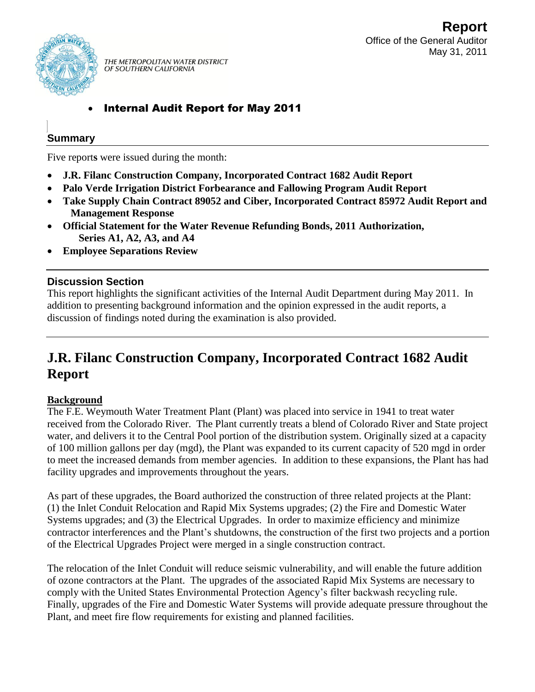

THE METROPOLITAN WATER DISTRICT OF SOUTHERN CALIFORNIA

## Internal Audit Report for May 2011

## **Summary**

Five report**s** were issued during the month:

- **J.R. Filanc Construction Company, Incorporated Contract 1682 Audit Report**
- **Palo Verde Irrigation District Forbearance and Fallowing Program Audit Report**
- **Take Supply Chain Contract 89052 and Ciber, Incorporated Contract 85972 Audit Report and Management Response**
- **Official Statement for the Water Revenue Refunding Bonds, 2011 Authorization, Series A1, A2, A3, and A4**
- **Employee Separations Review**

## **Discussion Section**

This report highlights the significant activities of the Internal Audit Department during May 2011. In addition to presenting background information and the opinion expressed in the audit reports, a discussion of findings noted during the examination is also provided.

# **J.R. Filanc Construction Company, Incorporated Contract 1682 Audit Report**

## **Background**

The F.E. Weymouth Water Treatment Plant (Plant) was placed into service in 1941 to treat water received from the Colorado River. The Plant currently treats a blend of Colorado River and State project water, and delivers it to the Central Pool portion of the distribution system. Originally sized at a capacity of 100 million gallons per day (mgd), the Plant was expanded to its current capacity of 520 mgd in order to meet the increased demands from member agencies. In addition to these expansions, the Plant has had facility upgrades and improvements throughout the years.

As part of these upgrades, the Board authorized the construction of three related projects at the Plant: (1) the Inlet Conduit Relocation and Rapid Mix Systems upgrades; (2) the Fire and Domestic Water Systems upgrades; and (3) the Electrical Upgrades. In order to maximize efficiency and minimize contractor interferences and the Plant's shutdowns, the construction of the first two projects and a portion of the Electrical Upgrades Project were merged in a single construction contract.

The relocation of the Inlet Conduit will reduce seismic vulnerability, and will enable the future addition of ozone contractors at the Plant. The upgrades of the associated Rapid Mix Systems are necessary to comply with the United States Environmental Protection Agency's filter backwash recycling rule. Finally, upgrades of the Fire and Domestic Water Systems will provide adequate pressure throughout the Plant, and meet fire flow requirements for existing and planned facilities.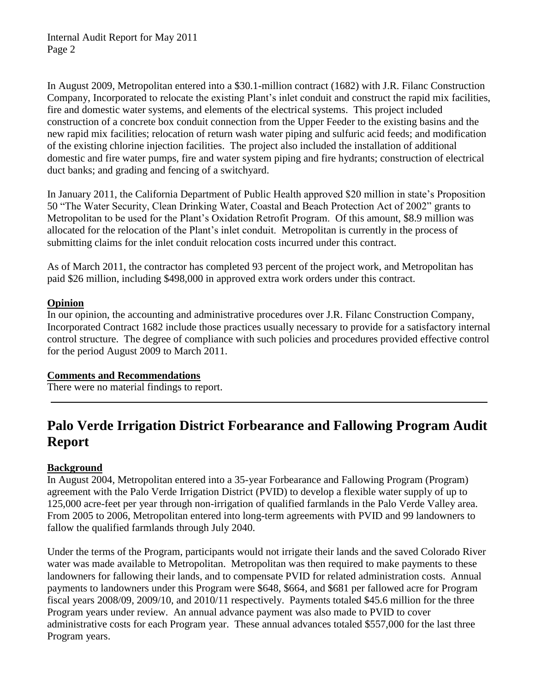In August 2009, Metropolitan entered into a \$30.1-million contract (1682) with J.R. Filanc Construction Company, Incorporated to relocate the existing Plant's inlet conduit and construct the rapid mix facilities, fire and domestic water systems, and elements of the electrical systems. This project included construction of a concrete box conduit connection from the Upper Feeder to the existing basins and the new rapid mix facilities; relocation of return wash water piping and sulfuric acid feeds; and modification of the existing chlorine injection facilities. The project also included the installation of additional domestic and fire water pumps, fire and water system piping and fire hydrants; construction of electrical duct banks; and grading and fencing of a switchyard.

In January 2011, the California Department of Public Health approved \$20 million in state's Proposition 50 "The Water Security, Clean Drinking Water, Coastal and Beach Protection Act of 2002" grants to Metropolitan to be used for the Plant's Oxidation Retrofit Program. Of this amount, \$8.9 million was allocated for the relocation of the Plant's inlet conduit. Metropolitan is currently in the process of submitting claims for the inlet conduit relocation costs incurred under this contract.

As of March 2011, the contractor has completed 93 percent of the project work, and Metropolitan has paid \$26 million, including \$498,000 in approved extra work orders under this contract.

### **Opinion**

In our opinion, the accounting and administrative procedures over J.R. Filanc Construction Company, Incorporated Contract 1682 include those practices usually necessary to provide for a satisfactory internal control structure. The degree of compliance with such policies and procedures provided effective control for the period August 2009 to March 2011.

### **Comments and Recommendations**

There were no material findings to report.

## **Palo Verde Irrigation District Forbearance and Fallowing Program Audit Report**

## **Background**

In August 2004, Metropolitan entered into a 35-year Forbearance and Fallowing Program (Program) agreement with the Palo Verde Irrigation District (PVID) to develop a flexible water supply of up to 125,000 acre-feet per year through non-irrigation of qualified farmlands in the Palo Verde Valley area. From 2005 to 2006, Metropolitan entered into long-term agreements with PVID and 99 landowners to fallow the qualified farmlands through July 2040.

Under the terms of the Program, participants would not irrigate their lands and the saved Colorado River water was made available to Metropolitan. Metropolitan was then required to make payments to these landowners for fallowing their lands, and to compensate PVID for related administration costs. Annual payments to landowners under this Program were \$648, \$664, and \$681 per fallowed acre for Program fiscal years 2008/09, 2009/10, and 2010/11 respectively. Payments totaled \$45.6 million for the three Program years under review. An annual advance payment was also made to PVID to cover administrative costs for each Program year. These annual advances totaled \$557,000 for the last three Program years.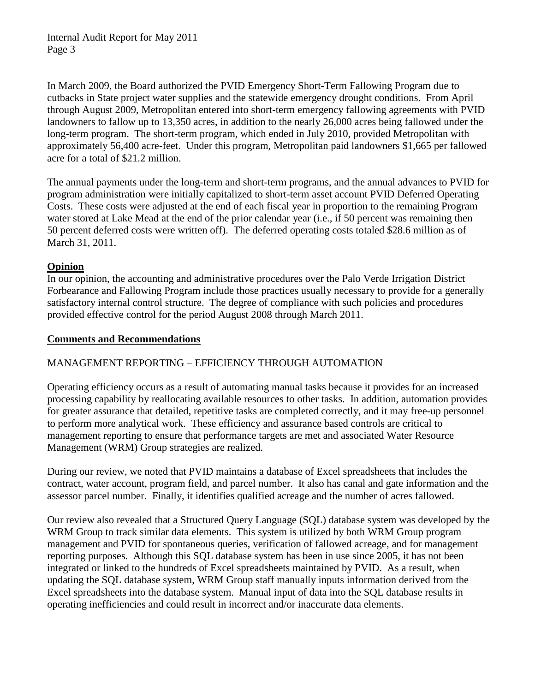In March 2009, the Board authorized the PVID Emergency Short-Term Fallowing Program due to cutbacks in State project water supplies and the statewide emergency drought conditions. From April through August 2009, Metropolitan entered into short-term emergency fallowing agreements with PVID landowners to fallow up to 13,350 acres, in addition to the nearly 26,000 acres being fallowed under the long-term program. The short-term program, which ended in July 2010, provided Metropolitan with approximately 56,400 acre-feet. Under this program, Metropolitan paid landowners \$1,665 per fallowed acre for a total of \$21.2 million.

The annual payments under the long-term and short-term programs, and the annual advances to PVID for program administration were initially capitalized to short-term asset account PVID Deferred Operating Costs. These costs were adjusted at the end of each fiscal year in proportion to the remaining Program water stored at Lake Mead at the end of the prior calendar year (i.e., if 50 percent was remaining then 50 percent deferred costs were written off). The deferred operating costs totaled \$28.6 million as of March 31, 2011.

### **Opinion**

In our opinion, the accounting and administrative procedures over the Palo Verde Irrigation District Forbearance and Fallowing Program include those practices usually necessary to provide for a generally satisfactory internal control structure. The degree of compliance with such policies and procedures provided effective control for the period August 2008 through March 2011.

### **Comments and Recommendations**

## MANAGEMENT REPORTING – EFFICIENCY THROUGH AUTOMATION

Operating efficiency occurs as a result of automating manual tasks because it provides for an increased processing capability by reallocating available resources to other tasks. In addition, automation provides for greater assurance that detailed, repetitive tasks are completed correctly, and it may free-up personnel to perform more analytical work. These efficiency and assurance based controls are critical to management reporting to ensure that performance targets are met and associated Water Resource Management (WRM) Group strategies are realized.

During our review, we noted that PVID maintains a database of Excel spreadsheets that includes the contract, water account, program field, and parcel number. It also has canal and gate information and the assessor parcel number. Finally, it identifies qualified acreage and the number of acres fallowed.

Our review also revealed that a Structured Query Language (SQL) database system was developed by the WRM Group to track similar data elements. This system is utilized by both WRM Group program management and PVID for spontaneous queries, verification of fallowed acreage, and for management reporting purposes. Although this SQL database system has been in use since 2005, it has not been integrated or linked to the hundreds of Excel spreadsheets maintained by PVID. As a result, when updating the SQL database system, WRM Group staff manually inputs information derived from the Excel spreadsheets into the database system. Manual input of data into the SQL database results in operating inefficiencies and could result in incorrect and/or inaccurate data elements.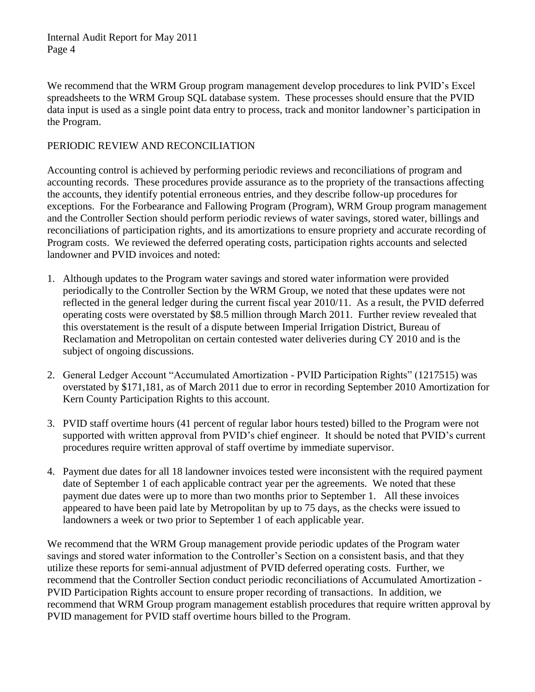We recommend that the WRM Group program management develop procedures to link PVID's Excel spreadsheets to the WRM Group SQL database system. These processes should ensure that the PVID data input is used as a single point data entry to process, track and monitor landowner's participation in the Program.

### PERIODIC REVIEW AND RECONCILIATION

Accounting control is achieved by performing periodic reviews and reconciliations of program and accounting records. These procedures provide assurance as to the propriety of the transactions affecting the accounts, they identify potential erroneous entries, and they describe follow-up procedures for exceptions. For the Forbearance and Fallowing Program (Program), WRM Group program management and the Controller Section should perform periodic reviews of water savings, stored water, billings and reconciliations of participation rights, and its amortizations to ensure propriety and accurate recording of Program costs. We reviewed the deferred operating costs, participation rights accounts and selected landowner and PVID invoices and noted:

- 1. Although updates to the Program water savings and stored water information were provided periodically to the Controller Section by the WRM Group, we noted that these updates were not reflected in the general ledger during the current fiscal year 2010/11. As a result, the PVID deferred operating costs were overstated by \$8.5 million through March 2011. Further review revealed that this overstatement is the result of a dispute between Imperial Irrigation District, Bureau of Reclamation and Metropolitan on certain contested water deliveries during CY 2010 and is the subject of ongoing discussions.
- 2. General Ledger Account "Accumulated Amortization PVID Participation Rights" (1217515) was overstated by \$171,181, as of March 2011 due to error in recording September 2010 Amortization for Kern County Participation Rights to this account.
- 3. PVID staff overtime hours (41 percent of regular labor hours tested) billed to the Program were not supported with written approval from PVID's chief engineer. It should be noted that PVID's current procedures require written approval of staff overtime by immediate supervisor.
- 4. Payment due dates for all 18 landowner invoices tested were inconsistent with the required payment date of September 1 of each applicable contract year per the agreements. We noted that these payment due dates were up to more than two months prior to September 1. All these invoices appeared to have been paid late by Metropolitan by up to 75 days, as the checks were issued to landowners a week or two prior to September 1 of each applicable year.

We recommend that the WRM Group management provide periodic updates of the Program water savings and stored water information to the Controller's Section on a consistent basis, and that they utilize these reports for semi-annual adjustment of PVID deferred operating costs. Further, we recommend that the Controller Section conduct periodic reconciliations of Accumulated Amortization - PVID Participation Rights account to ensure proper recording of transactions. In addition, we recommend that WRM Group program management establish procedures that require written approval by PVID management for PVID staff overtime hours billed to the Program.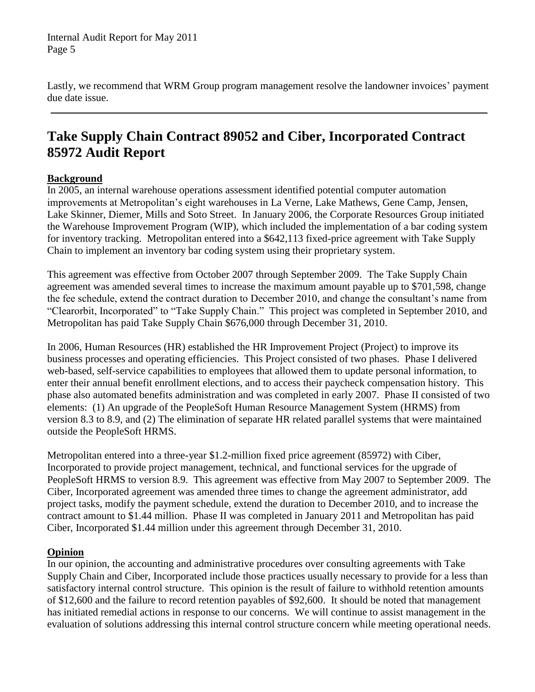Lastly, we recommend that WRM Group program management resolve the landowner invoices' payment due date issue.

# **Take Supply Chain Contract 89052 and Ciber, Incorporated Contract 85972 Audit Report**

### **Background**

In 2005, an internal warehouse operations assessment identified potential computer automation improvements at Metropolitan's eight warehouses in La Verne, Lake Mathews, Gene Camp, Jensen, Lake Skinner, Diemer, Mills and Soto Street. In January 2006, the Corporate Resources Group initiated the Warehouse Improvement Program (WIP), which included the implementation of a bar coding system for inventory tracking. Metropolitan entered into a \$642,113 fixed-price agreement with Take Supply Chain to implement an inventory bar coding system using their proprietary system.

This agreement was effective from October 2007 through September 2009. The Take Supply Chain agreement was amended several times to increase the maximum amount payable up to \$701,598, change the fee schedule, extend the contract duration to December 2010, and change the consultant's name from "Clearorbit, Incorporated" to "Take Supply Chain." This project was completed in September 2010, and Metropolitan has paid Take Supply Chain \$676,000 through December 31, 2010.

In 2006, Human Resources (HR) established the HR Improvement Project (Project) to improve its business processes and operating efficiencies. This Project consisted of two phases. Phase I delivered web-based, self-service capabilities to employees that allowed them to update personal information, to enter their annual benefit enrollment elections, and to access their paycheck compensation history. This phase also automated benefits administration and was completed in early 2007. Phase II consisted of two elements: (1) An upgrade of the PeopleSoft Human Resource Management System (HRMS) from version 8.3 to 8.9, and (2) The elimination of separate HR related parallel systems that were maintained outside the PeopleSoft HRMS.

Metropolitan entered into a three-year \$1.2-million fixed price agreement (85972) with Ciber, Incorporated to provide project management, technical, and functional services for the upgrade of PeopleSoft HRMS to version 8.9. This agreement was effective from May 2007 to September 2009. The Ciber, Incorporated agreement was amended three times to change the agreement administrator, add project tasks, modify the payment schedule, extend the duration to December 2010, and to increase the contract amount to \$1.44 million. Phase II was completed in January 2011 and Metropolitan has paid Ciber, Incorporated \$1.44 million under this agreement through December 31, 2010.

### **Opinion**

In our opinion, the accounting and administrative procedures over consulting agreements with Take Supply Chain and Ciber, Incorporated include those practices usually necessary to provide for a less than satisfactory internal control structure. This opinion is the result of failure to withhold retention amounts of \$12,600 and the failure to record retention payables of \$92,600. It should be noted that management has initiated remedial actions in response to our concerns. We will continue to assist management in the evaluation of solutions addressing this internal control structure concern while meeting operational needs.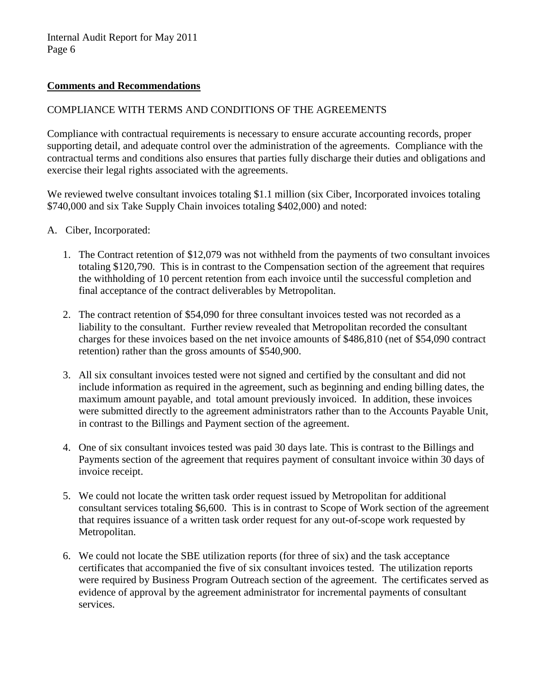#### **Comments and Recommendations**

#### COMPLIANCE WITH TERMS AND CONDITIONS OF THE AGREEMENTS

Compliance with contractual requirements is necessary to ensure accurate accounting records, proper supporting detail, and adequate control over the administration of the agreements. Compliance with the contractual terms and conditions also ensures that parties fully discharge their duties and obligations and exercise their legal rights associated with the agreements.

We reviewed twelve consultant invoices totaling \$1.1 million (six Ciber, Incorporated invoices totaling \$740,000 and six Take Supply Chain invoices totaling \$402,000) and noted:

- A. Ciber, Incorporated:
	- 1. The Contract retention of \$12,079 was not withheld from the payments of two consultant invoices totaling \$120,790. This is in contrast to the Compensation section of the agreement that requires the withholding of 10 percent retention from each invoice until the successful completion and final acceptance of the contract deliverables by Metropolitan.
	- 2. The contract retention of \$54,090 for three consultant invoices tested was not recorded as a liability to the consultant. Further review revealed that Metropolitan recorded the consultant charges for these invoices based on the net invoice amounts of \$486,810 (net of \$54,090 contract retention) rather than the gross amounts of \$540,900.
	- 3. All six consultant invoices tested were not signed and certified by the consultant and did not include information as required in the agreement, such as beginning and ending billing dates, the maximum amount payable, and total amount previously invoiced. In addition, these invoices were submitted directly to the agreement administrators rather than to the Accounts Payable Unit, in contrast to the Billings and Payment section of the agreement.
	- 4. One of six consultant invoices tested was paid 30 days late. This is contrast to the Billings and Payments section of the agreement that requires payment of consultant invoice within 30 days of invoice receipt.
	- 5. We could not locate the written task order request issued by Metropolitan for additional consultant services totaling \$6,600. This is in contrast to Scope of Work section of the agreement that requires issuance of a written task order request for any out-of-scope work requested by Metropolitan.
	- 6. We could not locate the SBE utilization reports (for three of six) and the task acceptance certificates that accompanied the five of six consultant invoices tested. The utilization reports were required by Business Program Outreach section of the agreement. The certificates served as evidence of approval by the agreement administrator for incremental payments of consultant services.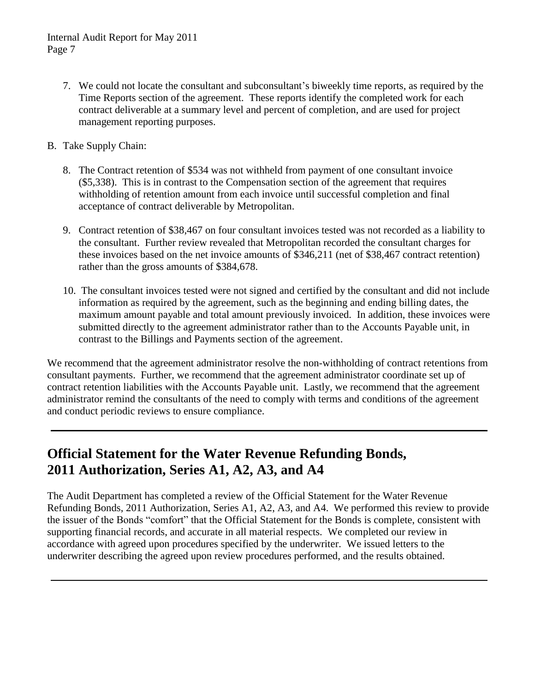- 7. We could not locate the consultant and subconsultant's biweekly time reports, as required by the Time Reports section of the agreement. These reports identify the completed work for each contract deliverable at a summary level and percent of completion, and are used for project management reporting purposes.
- B. Take Supply Chain:
	- 8. The Contract retention of \$534 was not withheld from payment of one consultant invoice (\$5,338). This is in contrast to the Compensation section of the agreement that requires withholding of retention amount from each invoice until successful completion and final acceptance of contract deliverable by Metropolitan.
	- 9. Contract retention of \$38,467 on four consultant invoices tested was not recorded as a liability to the consultant. Further review revealed that Metropolitan recorded the consultant charges for these invoices based on the net invoice amounts of \$346,211 (net of \$38,467 contract retention) rather than the gross amounts of \$384,678.
	- 10. The consultant invoices tested were not signed and certified by the consultant and did not include information as required by the agreement, such as the beginning and ending billing dates, the maximum amount payable and total amount previously invoiced. In addition, these invoices were submitted directly to the agreement administrator rather than to the Accounts Payable unit, in contrast to the Billings and Payments section of the agreement.

We recommend that the agreement administrator resolve the non-withholding of contract retentions from consultant payments. Further, we recommend that the agreement administrator coordinate set up of contract retention liabilities with the Accounts Payable unit. Lastly, we recommend that the agreement administrator remind the consultants of the need to comply with terms and conditions of the agreement and conduct periodic reviews to ensure compliance.

## **Official Statement for the Water Revenue Refunding Bonds, 2011 Authorization, Series A1, A2, A3, and A4**

The Audit Department has completed a review of the Official Statement for the Water Revenue Refunding Bonds, 2011 Authorization, Series A1, A2, A3, and A4. We performed this review to provide the issuer of the Bonds "comfort" that the Official Statement for the Bonds is complete, consistent with supporting financial records, and accurate in all material respects. We completed our review in accordance with agreed upon procedures specified by the underwriter. We issued letters to the underwriter describing the agreed upon review procedures performed, and the results obtained.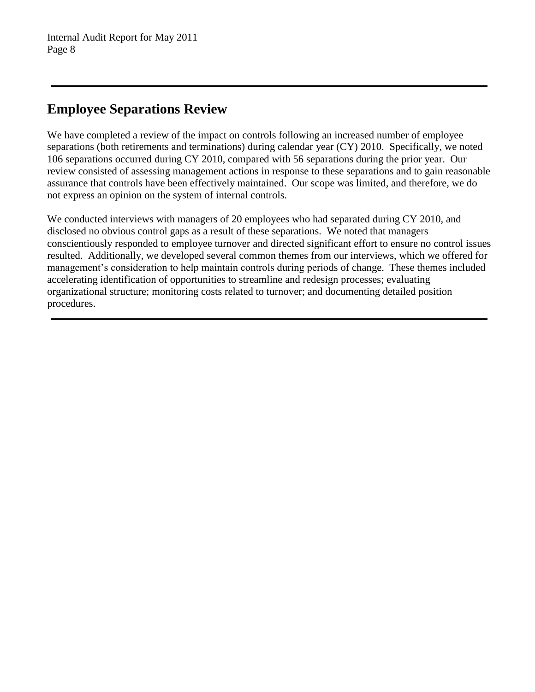# **Employee Separations Review**

We have completed a review of the impact on controls following an increased number of employee separations (both retirements and terminations) during calendar year (CY) 2010. Specifically, we noted 106 separations occurred during CY 2010, compared with 56 separations during the prior year. Our review consisted of assessing management actions in response to these separations and to gain reasonable assurance that controls have been effectively maintained. Our scope was limited, and therefore, we do not express an opinion on the system of internal controls.

We conducted interviews with managers of 20 employees who had separated during CY 2010, and disclosed no obvious control gaps as a result of these separations. We noted that managers conscientiously responded to employee turnover and directed significant effort to ensure no control issues resulted. Additionally, we developed several common themes from our interviews, which we offered for management's consideration to help maintain controls during periods of change. These themes included accelerating identification of opportunities to streamline and redesign processes; evaluating organizational structure; monitoring costs related to turnover; and documenting detailed position procedures.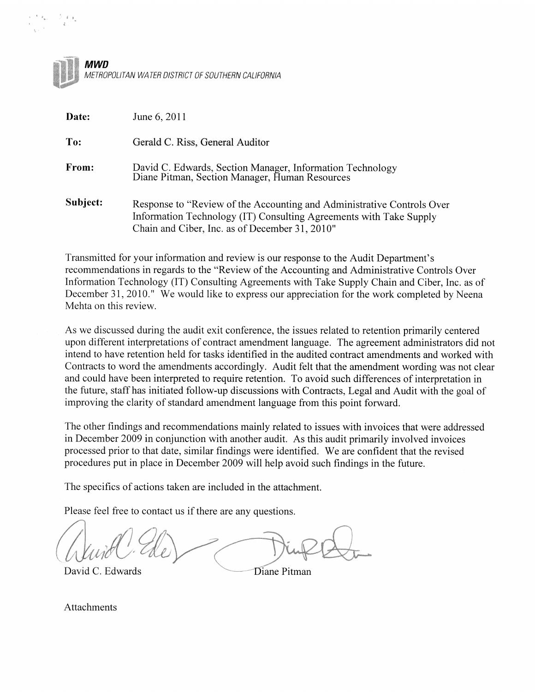

| Date:    | June 6, 2011                                                                                                                                                                                   |
|----------|------------------------------------------------------------------------------------------------------------------------------------------------------------------------------------------------|
| To:      | Gerald C. Riss, General Auditor                                                                                                                                                                |
| From:    | David C. Edwards, Section Manager, Information Technology<br>Diane Pitman, Section Manager, Human Resources                                                                                    |
| Subject: | Response to "Review of the Accounting and Administrative Controls Over<br>Information Technology (IT) Consulting Agreements with Take Supply<br>Chain and Ciber, Inc. as of December 31, 2010" |

Transmitted for your information and review is our response to the Audit Department's recommendations in regards to the "Review of the Accounting and Administrative Controls Over Information Technology (IT) Consulting Agreements with Take Supply Chain and Ciber, Inc. as of December 31, 2010." We would like to express our appreciation for the work completed by Neena Mehta on this review.

As we discussed during the audit exit conference, the issues related to retention primarily centered upon different interpretations of contract amendment language. The agreement administrators did not intend to have retention held for tasks identified in the audited contract amendments and worked with Contracts to word the amendments accordingly. Audit felt that the amendment wording was not clear and could have been interpreted to require retention. To avoid such differences of interpretation in the future, staff has initiated follow-up discussions with Contracts, Legal and Audit with the goal of improving the clarity of standard amendment language from this point forward.

The other findings and recommendations mainly related to issues with invoices that were addressed in December 2009 in conjunction with another audit. As this audit primarily involved invoices processed prior to that date, similar findings were identified. We are confident that the revised procedures put in place in December 2009 will help avoid such findings in the future.

The specifics of actions taken are included in the attachment.

Please feel free to contact us if there are any questions.

David C. Edwards

Diane Pitman

**Attachments**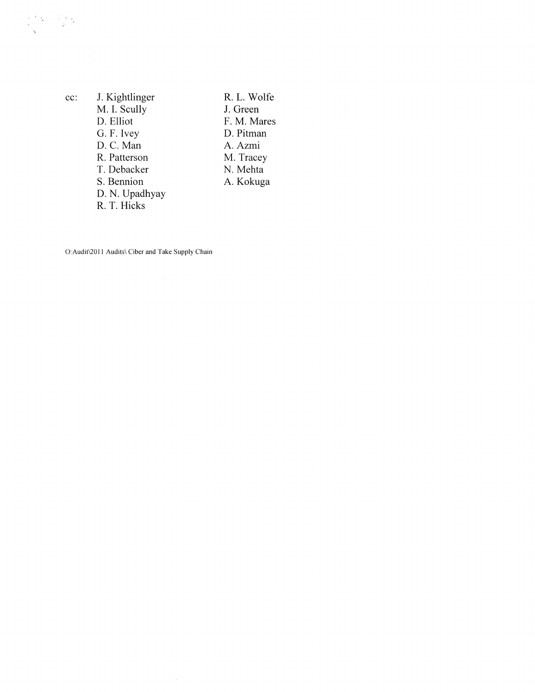| c: | J. Kightlinger |  |
|----|----------------|--|
|    | M. I. Scully   |  |
|    | D. Elliot      |  |
|    | G. F. Ivey     |  |
|    | D. C. Man      |  |
|    | R. Patterson   |  |
|    | T. Debacker    |  |
|    | S. Bennion     |  |
|    | D. N. Upadhyay |  |
|    | R. T. Hicks    |  |

R.L. Wolfe J. Green F. M. Mares D. Pitman A. Azmi M. Tracey<br>N. Mehta A. Kokuga

O: Audit\2011 Audits\ Ciber and Take Supply Chain

 $\mathcal{A}^{\mathcal{A}}$ 

 $\alpha$ 

 $\begin{array}{ccccc} \mathbf{p} & \mathbf{f} & \mathbf{g} & \mathbf{g} & \mathbf{g} \\ \mathbf{h} & \mathbf{g} & \mathbf{g} & \mathbf{g} & \mathbf{g} \\ \mathbf{h} & \mathbf{g} & \mathbf{g} & \mathbf{g} & \mathbf{g} \end{array}$